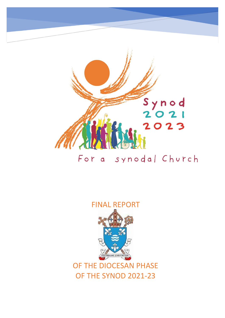

# For a synodal Church

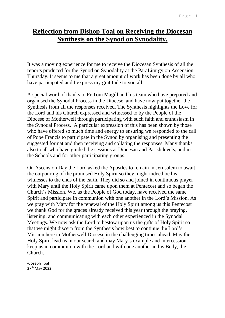### **Reflection from Bishop Toal on Receiving the Diocesan Synthesis on the Synod on Synodality.**

It was a moving experience for me to receive the Diocesan Synthesis of all the reports produced for the Synod on Synodality at the ParaLiturgy on Ascension Thursday. It seems to me that a great amount of work has been done by all who have participated and I express my gratitude to you all.

A special word of thanks to Fr Tom Magill and his team who have prepared and organised the Synodal Process in the Diocese, and have now put together the Synthesis from all the responses received. The Synthesis highlights the Love for the Lord and his Church expressed and witnessed to by the People of the Diocese of Motherwell through participating with such faith and enthusiasm in the Synodal Process. A particular expression of this has been shown by those who have offered so much time and energy to ensuring we responded to the call of Pope Francis to participate in the Synod by organising and presenting the suggested format and then receiving and collating the responses. Many thanks also to all who have guided the sessions at Diocesan and Parish levels, and in the Schools and for other participating groups.

On Ascension Day the Lord asked the Apostles to remain in Jerusalem to await the outpouring of the promised Holy Spirit so they might indeed be his witnesses to the ends of the earth. They did so and joined in continuous prayer with Mary until the Holy Spirit came upon them at Pentecost and so began the Church's Mission. We, as the People of God today, have received the same Spirit and participate in communion with one another in the Lord's Mission. As we pray with Mary for the renewal of the Holy Spirit among us this Pentecost we thank God for the graces already received this year through the praying, listening, and communicating with each other experienced in the Synodal Meetings. We now ask the Lord to bestow upon us the gifts of Holy Spirit so that we might discern from the Synthesis how best to continue the Lord's Mission here in Motherwell Diocese in the challenging times ahead. May the Holy Spirit lead us in our search and may Mary's example and intercession keep us in communion with the Lord and with one another in his Body, the Church.

+Joseph Toal 27th May 2022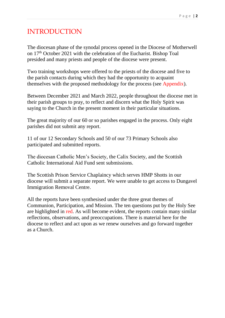# INTRODUCTION

The diocesan phase of the synodal process opened in the Diocese of Motherwell on 17<sup>th</sup> October 2021 with the celebration of the Eucharist. Bishop Toal presided and many priests and people of the diocese were present.

Two training workshops were offered to the priests of the diocese and five to the parish contacts during which they had the opportunity to acquaint themselves with the proposed methodology for the process (see Appendix).

Between December 2021 and March 2022, people throughout the diocese met in their parish groups to pray, to reflect and discern what the Holy Spirit was saying to the Church in the present moment in their particular situations.

The great majority of our 60 or so parishes engaged in the process. Only eight parishes did not submit any report.

11 of our 12 Secondary Schools and 50 of our 73 Primary Schools also participated and submitted reports.

The diocesan Catholic Men's Society, the Calix Society, and the Scottish Catholic International Aid Fund sent submissions.

The Scottish Prison Service Chaplaincy which serves HMP Shotts in our diocese will submit a separate report. We were unable to get access to Dungavel Immigration Removal Centre.

All the reports have been synthesised under the three great themes of Communion, Participation, and Mission. The ten questions put by the Holy See are highlighted in red. As will become evident, the reports contain many similar reflections, observations, and preoccupations. There is material here for the diocese to reflect and act upon as we renew ourselves and go forward together as a Church.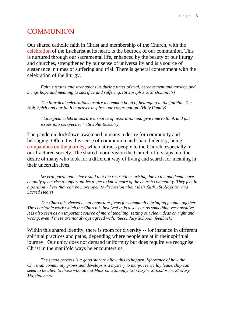#### COMMUNION

Our shared catholic faith in Christ and membership of the Church, with the celebration of the Eucharist at its heart, is the bedrock of our communion. This is nurtured through our sacramental life, enhanced by the beauty of our liturgy and churches, strengthened by our sense of universality and is a source of sustenance in times of suffering and trial. There is general contentment with the celebration of the liturgy.

*Faith sustains and strengthens us during times of trial, bereavement and anxiety, and brings hope and meaning to sacrifice and suffering. (St Joseph's & St Dominic's)*

*The liturgical celebrations inspire a common bond of belonging in the faithful. The Holy Spirit and our faith in prayer inspires our congregation. (Holy Family)*

*"Liturgical celebrations are a source of inspiration and give time to think and put issues into perspective." (St John Bosco's)*

The pandemic lockdown awakened in many a desire for community and belonging. Often it is this sense of communion and shared identity, being companions on the journey, which attracts people to the Church, especially in our fractured society. The shared moral vision the Church offers taps into the desire of many who look for a different way of living and search for meaning in their uncertain lives.

*Several participants have said that the restrictions arising due to the pandemic have actually given rise to opportunities to get to know more of the church community. They feel in a position where they can be more open to discussion about their faith. (St Aloysius' and Sacred Heart)*

*The Church is viewed as an important focus for community, bringing people together. The charitable work which the Church is involved in is also seen as something very positive. It is also seen as an important source of moral teaching, setting out clear ideas on right and wrong, even if these are not always agreed with. (Secondary Schools' feedback)*

Within this shared identity, there is room for diversity -- for instance in different spiritual practices and paths, depending where people are at in their spiritual journey. Our unity does not demand uniformity but does require we recognise Christ in the manifold ways he encounters us.

*The synod process is a good start to allow this to happen. Ignorance of how the Christian community grows and develops is a mystery to many. Hence lay leadership can seem to be alien to those who attend Mass on a Sunday. (St Mary's, St Isodore's, St Mary Magdalene's)*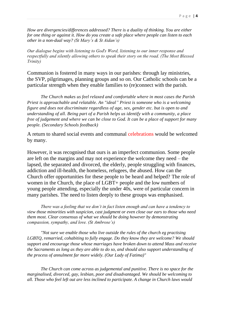*How are divergencies/differences addressed? There is a duality of thinking. You are either for one thing or against it. How do you create a safe place where people can listen to each other in a non-dual way? (St Mary's & St Aidan's)*

Our dialogue begins with listening to God's Word, listening to our inner response and respectfully and silently allowing others to speak their story on the road. (The Most Blessed Trinity)

Communion is fostered in many ways in our parishes: through lay ministries, the SVP, pilgrimages, planning groups and so on. Our Catholic schools can be a particular strength when they enable families to (re)connect with the parish.

*The Church makes us feel relaxed and comfortable where in most cases the Parish Priest is approachable and relatable. An "ideal" Priest is someone who is a welcoming figure and does not discriminate regardless of age, sex, gender etc. but is open to and understanding of all. Being part of a Parish helps us identify with a community, a place free of judgement and where we can be close to God. It can be a place of support for many people. (Secondary Schools feedback)*

A return to shared social events and communal celebrations would be welcomed by many.

However, it was recognised that ours is an imperfect communion. Some people are left on the margins and may not experience the welcome they need – the lapsed, the separated and divorced, the elderly, people struggling with finances, addiction and ill-health, the homeless, refugees, the abused. How can the Church offer opportunities for these people to be heard and helped? The role of women in the Church, the place of LGBT+ people and the low numbers of young people attending, especially the under 40s, were of particular concern in many parishes. The need to listen deeply to these groups was emphasised.

*There was a feeling that we don't in fact listen enough and can have a tendency to view those minorities with suspicion, cast judgment or even close our ears to those who need them most. Clear consensus of what we should be doing however by demonstrating compassion, sympathy, and love. (St Ambrose's)*

*"Not sure we enable those who live outside the rules of the church eg practising LGBTQ, remarried, cohabiting to fully engage. Do they know they are welcome? We should support and encourage those whose marriages have broken down to attend Mass and receive the Sacraments as long as they are able to do so, and should also support understanding of the process of annulment far more widely. (Our Lady of Fatima)"*

*The Church can come across as judgemental and punitive. There is no space for the marginalised, divorced, gay, lesbian, poor and disadvantaged. We should be welcoming to all. Those who feel left out are less inclined to participate. A change in Church laws would*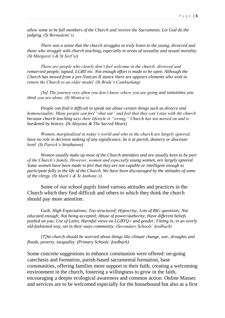*allow some to be full members of the Church and receive the Sacraments. Let God do the judging. (St Bernadette's)*

*There was a sense that the church struggles to truly listen to the young, divorced and those who struggle with church teaching, especially in areas of sexuality and sexual morality. (St Margaret's & St Serf's))*

*There are people who clearly don't feel welcome in the church: divorced and remarried people, lapsed, LGBT etc. Not enough effort is made to be open. Although the Church has moved from a pre-Vatican II stance there are appears elements who wish to return the Church to an older model. (St Bride's Cambuslang)*

*[In] The journey very often you don't know where you are going and sometimes you think you are alone. (St Monica's)*

*People can find it difficult to speak out about certain things such as divorce and homosexuality. Many people can feel "shut out" and feel that they can't stay with the church because church teaching says their lifestyle is "wrong." Church has not moved on and is burdened by history. (St Aloysius & The Sacred Heart)*

*Women, marginalized in today's world and who in the church are largely ignored, have no role in decision making of any significance, be it at parish, deanery or diocesan level. (St Patrick's Strathaven)*

*Women usually make up most of the Church attendees and are usually keen to be part of the Church's family. However, women and especially young women, are largely ignored. Some women have been made to feel that they are not capable or intelligent enough to participate fully in the life of the Church. We have been discouraged by the attitudes of some of the clergy. (St Mark's & St Anthony's)*

Some of our school pupils listed various attitudes and practices in the Church which they find difficult and others to which they think the church should pay more attention:

*Guilt, High Expectations; Too structured; Hypocrisy; Lots of BIG questions; Not educated enough; Not being accepted; Abuse of power/authority; Have different beliefs pushed on you; Use of Latin; Harmful views on LGBTQ+ and gender; Fitting in, in an overly old-fashioned way, set in their ways community. (Secondary Schools' feedback)*

*[T]he church should be worried about things like climate change, war, droughts and floods, poverty, inequality. (Primary Schools' feedback)*

Some concrete suggestions to enhance communion were offered: on-going catechesis and formation, parish-based sacramental formation, base communities, offering families more support in their faith, creating a welcoming environment in the church, fostering a willingness to grow in the faith, encouraging a deeper ecological awareness and common action. Online Masses and services are to be welcomed especially for the housebound but also as a first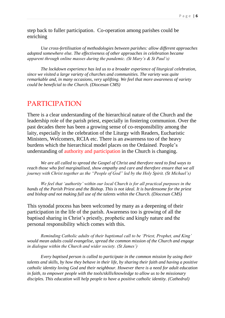step back to fuller participation. Co-operation among parishes could be enriching

*Use cross-fertilisation of methodologies between parishes: allow different approaches adopted somewhere else. The effectiveness of other approaches in celebration became apparent through online masses during the pandemic. (St Mary's & St Paul's)*

*The lockdown experience has led us to a broader experience of liturgical celebration, since we visited a large variety of churches and communities. The variety was quite remarkable and, in many occasions, very uplifting. We feel that more awareness of variety could be beneficial to the Church. (Diocesan CMS)*

#### PARTICIPATION

There is a clear understanding of the hierarchical nature of the Church and the leadership role of the parish priest, especially in fostering communion. Over the past decades there has been a growing sense of co-responsibility among the laity, especially in the celebration of the Liturgy with Readers, Eucharistic Ministers, Welcomers, RCIA etc. There is an awareness too of the heavy burdens which the hierarchical model places on the Ordained. People's understanding of authority and participation in the Church is changing.

*We are all called to spread the Gospel of Christ and therefore need to find ways to reach those who feel marginalised, show empathy and care and therefore ensure that we all journey with Christ together as the "People of God" led by the Holy Spirit. (St Michael's)*

*We feel that 'authority' within our local Church is for all practical purposes in the hands of the Parish Priest and the Bishop. This is not ideal. It is burdensome for the priest and bishop and not making full use of the talents within the Church. (Diocesan CMS)*

This synodal process has been welcomed by many as a deepening of their participation in the life of the parish. Awareness too is growing of all the baptised sharing in Christ's priestly, prophetic and kingly nature and the personal responsibility which comes with this.

*Reminding Catholic adults of their baptismal call to be 'Priest, Prophet, and King' would mean adults could evangelise, spread the common mission of the Church and engage in dialogue within the Church and wider society. (St James')*

*Every baptised person is called to participate in the common mission by using their talents and skills, by how they behave in their life, by sharing their faith and having a positive catholic identity loving God and their neighbour. However there is a need for adult education in faith, to empower people with the tools/skills/knowledge to allow us to be missionary disciples. This education will help people to have a positive catholic identity. (Cathedral)*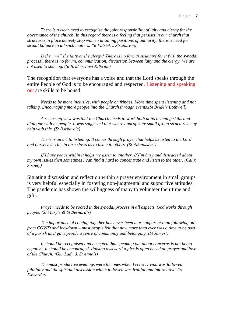*There is a clear need to recognise the joint responsibility of laity and clergy for the governance of the church. In this regard there is a feeling that persists in our church that structures in place actively stop women attaining positions of authority; there is need for sexual balance in all such matters. (St Patrick's Strathaven)*

*Is the "we" the laity or the clergy? There is no formal structure for it (viz. the synodal process), there is no forum, communication, discussion between laity and the clergy. We are not used to sharing. (St Bride's East Kilbride)*

The recognition that everyone has a voice and that the Lord speaks through the entire People of God is to be encouraged and respected. Listening and speaking out are skills to be honed.

*Needs to be more inclusive, with people on fringes. More time spent listening and not talking. Encouraging more people into the Church through events.(St Bride's Bothwell)*

*A recurring view was that the Church needs to work both at its listening skills and dialogue with its people. It was suggested that where appropriate small group structures may help with this. (St Barbara's)*

*There is an art to listening. It comes through prayer that helps us listen to the Lord and ourselves. This in turn slows us to listen to others. (St Athanasius')*

*If I have peace within it helps me listen to another. If I'm busy and distracted about my own issues then sometimes I can find it hard to concentrate and listen to the other. (Calix Society)*

Situating discussion and reflection within a prayer environment in small groups is very helpful especially in fostering non-judgmental and supportive attitudes. The pandemic has shown the willingness of many to volunteer their time and gifts.

*Prayer needs to be rooted in the synodal process in all aspects. God works through people. (St Mary's & St Bernard's)*

*The importance of coming together has never been more apparent than following on from COVID and lockdown – most people felt that now more than ever was a time to be part of a parish as it gave people a sense of community and belonging. (St James')*

*It should be recognised and accepted that speaking out about concerns is not being negative. It should be encouraged. Raising awkward topics is often based on prayer and love of the Church. (Our Lady & St Anne's)*

*The most productive evenings were the ones when Lectio Divina was followed faithfully and the spiritual discussion which followed was fruitful and informative. (St Edward's)*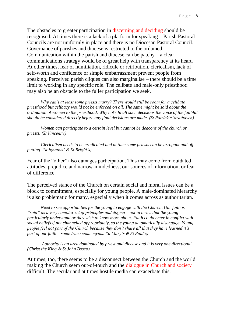The obstacles to greater participation in discerning and deciding should be recognised. At times there is a lack of a platform for speaking – Parish Pastoral Councils are not uniformly in place and there is no Diocesan Pastoral Council. Governance of parishes and diocese is restricted to the ordained. Communication within the parish and diocese can be patchy – a clear communications strategy would be of great help with transparency at its heart. At other times, fear of humiliation, ridicule or retribution, clericalism, lack of self-worth and confidence or simple embarrassment prevent people from speaking. Perceived parish cliques can also marginalise – there should be a time limit to working in any specific role. The celibate and male-only priesthood may also be an obstacle to the fuller participation we seek.

*Why can't at least some priests marry? There would still be room for a celibate priesthood but celibacy would not be enforced on all. The same might be said about the ordination of women to the priesthood. Why not? In all such decisions the voice of the faithful should be considered directly before any final decisions are made. (St Patrick's Strathaven)*

*Women can participate to a certain level but cannot be deacons of the church or priests. (St Vincent's)*

*Clericalism needs to be eradicated and at time some priests can be arrogant and off putting. (St Ignatius' & St Brigid's)*

Fear of the "other" also damages participation. This may come from outdated attitudes, prejudice and narrow-mindedness, our sources of information, or fear of difference.

The perceived stance of the Church on certain social and moral issues can be a block to commitment, especially for young people. A male-dominated hierarchy is also problematic for many, especially when it comes across as authoritarian.

*Need to see opportunities for the young to engage with the Church. Our faith is "sold" as a very complex set of principles and dogma – not in terms that the young particularly understand or they wish to know more about. Faith could enter in conflict with social beliefs if not channelled appropriately, so the young automatically disengage. Young people feel not part of the Church because they don't share all that they have learned it's part of our faith – some true / some myths. (St Mary's & St Paul's)*

*Authority is an area dominated by priest and diocese and it is very one directional. (Christ the King & St John Bosco)*

At times, too, there seems to be a disconnect between the Church and the world making the Church seem out-of-touch and the dialogue in Church and society difficult. The secular and at times hostile media can exacerbate this.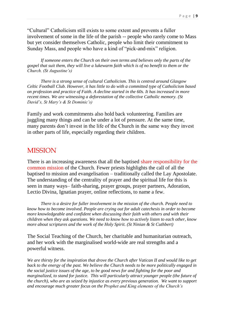"Cultural" Catholicism still exists to some extent and prevents a fuller involvement of some in the life of the parish -- people who rarely come to Mass but yet consider themselves Catholic, people who limit their commitment to Sunday Mass, and people who have a kind of "pick-and-mix" religion.

*If someone enters the Church on their own terms and believes only the parts of the gospel that suit them, they will live a lukewarm faith which is of no benefit to them or the Church. (St Augustine's)*

*There is a strong sense of cultural Catholicism. This is centred around Glasgow Celtic Football Club. However, it has little to do with a committed type of Catholicism based on profession and practice of Faith. A decline started in the 60s. It has increased in more recent times. We are witnessing a deforestation of the collective Catholic memory. (St David's, St Mary's & St Dominic's)*

Family and work commitments also hold back volunteering. Families are juggling many things and can be under a lot of pressure. At the same time, many parents don't invest in the life of the Church in the same way they invest in other parts of life, especially regarding their children.

#### **MISSION**

There is an increasing awareness that all the baptised share responsibility for the common mission of the Church. Fewer priests highlights the call of all the baptised to mission and evangelisation – traditionally called the Lay Apostolate. The understanding of the centrality of prayer and the spiritual life for this is seen in many ways– faith-sharing, prayer groups, prayer partners, Adoration, Lectio Divina, Ignatian prayer, online reflections, to name a few.

*There is a desire for fuller involvement in the mission of the church. People need to know how to become involved. People are crying out for adult catechesis in order to become more knowledgeable and confident when discussing their faith with others and with their children when they ask questions. We need to know how to actively listen to each other, know more about scriptures and the work of the Holy Spirit. (St Ninian & St Cuthbert)*

The Social Teaching of the Church, her charitable and humanitarian outreach, and her work with the marginalised world-wide are real strengths and a powerful witness.

*We are thirsty for the inspiration that drove the Church after Vatican II and would like to get back to the energy of the past. We believe the Church needs to be more politically engaged in the social justice issues of the age, to be good news for and fighting for the poor and marginalized, to stand for justice. This will particularly attract younger people (the future of the church), who are as seized by injustice as every previous generation. We want to support and encourage much greater focus on the Prophet and King elements of the Church's*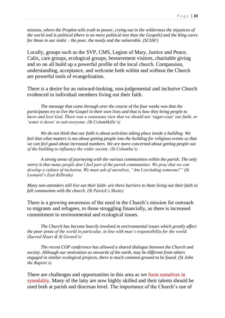*mission, where the Prophet tells truth to power, crying out in the wilderness the injustices of the world and is political (there is no more political text than the Gospels) and the King cares for those in our midst – the poor, the needy and the vulnerable. (SCIAF)*

Locally, groups such as the SVP, CMS, Legion of Mary, Justice and Peace, Calix, care groups, ecological groups, bereavement visitors, charitable giving and so on all build up a powerful profile of the local church. Compassion, understanding, acceptance, and welcome both within and without the Church are powerful tools of evangelisation.

There is a desire for an outward-looking, non-judgemental and inclusive Church evidenced in individual members living out their faith.

*The message that came through over the course of the four weeks was that the participants try to live the Gospel in their own lives and that is how they bring people to know and love God. There was a consensus view that we should not 'sugar-coat' our faith, or 'water it down' to suit everyone. (St Columbkille's)*

*We do not think that our faith is about activities taking place inside a building. We feel that what matters is not about getting people into the building for religious events so that we can feel good about increased numbers. We are more concerned about getting people out of the building to influence the wider society. (St Columba's)*

*A strong sense of journeying with the various communities within the parish. The only worry is that many people don't feel part of the parish communities. We pray that we can develop a culture of inclusion. We must ask of ourselves, "Am I excluding someone?" (St Leonard's East Kilbride)*

*Many non-attenders still live out their faith- are there barriers to them living out their faith in full communion with the church. (St Patrick's Shotts)*

There is a growing awareness of the need in the Church's mission for outreach to migrants and refugees, to those struggling financially, as there is increased commitment to environmental and ecological issues.

*The Church has become heavily involved in environmental issues which greatly affect the poor areas of the world in particular, in line with man's responsibility for the world. (Sacred Heart & St Gerard's)*

*The recent COP conference has allowed a shared dialogue between the Church and society. Although our motivation as stewards of the earth, may be different from others engaged in similar ecological projects, there is much common ground to be found. (St John the Baptist's)*

There are challenges and opportunities in this area as we form ourselves in synodality. Many of the laity are now highly skilled and their talents should be used both at parish and diocesan level. The importance of the Church's use of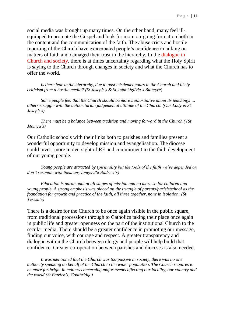social media was brought up many times. On the other hand, many feel illequipped to promote the Gospel and look for more on-going formation both in the content and the communication of the faith. The abuse crisis and hostile reporting of the Church have exacerbated people's confidence in talking on matters of faith and damaged their trust in the hierarchy. In the dialogue in Church and society, there is at times uncertainty regarding what the Holy Spirit is saying to the Church through changes in society and what the Church has to offer the world.

*Is there fear in the hierarchy, due to past misdemeanours in the Church and likely criticism from a hostile media? (St Joseph's & St John Ogilvie's Blantyre)*

*Some people feel that the Church should be more authoritative about its teachings … others struggle with the authoritarian judgemental attitude of the Church. (Our Lady & St Joseph's)*

*There must be a balance between tradition and moving forward in the Church ( (St Monica's)*

Our Catholic schools with their links both to parishes and families present a wonderful opportunity to develop mission and evangelisation. The diocese could invest more in oversight of RE and commitment to the faith development of our young people.

*Young people are attracted by spirituality but the tools of the faith we've depended on don't resonate with them any longer.(St Andrew's)* 

*Education is paramount at all stages of mission and no more so for children and young people. A strong emphasis was placed on the triangle of parents/parish/school as the foundation for growth and practice of the faith, all three together, none in isolation*. *(St Teresa's)*

There is a desire for the Church to be once again visible in the public square, from traditional processions through to Catholics taking their place once again in public life and greater openness on the part of the institutional Church to the secular media. There should be a greater confidence in promoting our message, finding our voice, with courage and respect. A greater transparency and dialogue within the Church between clergy and people will help build that confidence. Greater co-operation between parishes and dioceses is also needed.

*It was mentioned that the Church was too passive in society, there was no one authority speaking on behalf of the Church to the wider population. The Church requires to be more forthright in matters concerning major events affecting our locality, our country and the world (St Patrick's, Coatbridge)*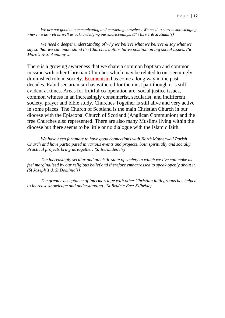*We are not good at communicating and marketing ourselves. We need to start acknowledging where we do well as well as acknowledging our shortcomings. (St Mary's & St Aidan's)*

*We need a deeper understanding of why we believe what we believe & say what we say so that we can understand the Churches authoritative position on big social issues. (St Mark's & St Anthony's)*

There is a growing awareness that we share a common baptism and common mission with other Christian Churches which may be related to our seemingly diminished role in society. Ecumenism has come a long way in the past decades. Rabid sectarianism has withered for the most part though it is still evident at times. Areas for fruitful co-operation are: social justice issues, common witness in an increasingly consumerist, secularist, and indifferent society, prayer and bible study. Churches Together is still alive and very active in some places. The Church of Scotland is the main Christian Church in our diocese with the Episcopal Church of Scotland (Anglican Communion) and the free Churches also represented. There are also many Muslims living within the diocese but there seems to be little or no dialogue with the Islamic faith.

*We have been fortunate to have good connections with North Motherwell Parish Church and have participated in various events and projects, both spiritually and socially. Practical projects bring us together. (St Bernadette's)*

*The increasingly secular and atheistic state of society in which we live can make us feel marginalised by our religious belief and therefore embarrassed to speak openly about it. (St Joseph's & St Dominic's)*

*The greater acceptance of intermarriage with other Christian faith groups has helped to increase knowledge and understanding. (St Bride's East Kilbride)*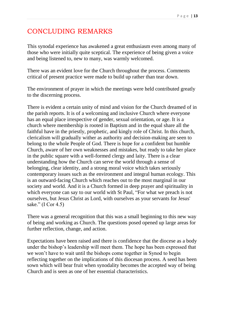# CONCLUDING REMARKS

This synodal experience has awakened a great enthusiasm even among many of those who were initially quite sceptical. The experience of being given a voice and being listened to, new to many, was warmly welcomed.

There was an evident love for the Church throughout the process. Comments critical of present practice were made to build up rather than tear down.

The environment of prayer in which the meetings were held contributed greatly to the discerning process.

There is evident a certain unity of mind and vision for the Church dreamed of in the parish reports. It is of a welcoming and inclusive Church where everyone has an equal place irrespective of gender, sexual orientation, or age. It is a church where membership is rooted in Baptism and in the equal share all the faithful have in the priestly, prophetic, and kingly role of Christ. In this church, clericalism will gradually wither as authority and decision-making are seen to belong to the whole People of God. There is hope for a confident but humble Church, aware of her own weaknesses and mistakes, but ready to take her place in the public square with a well-formed clergy and laity. There is a clear understanding how the Church can serve the world through a sense of belonging, clear identity, and a strong moral voice which takes seriously contemporary issues such as the environment and integral human ecology. This is an outward-facing Church which reaches out to the most marginal in our society and world. And it is a Church formed in deep prayer and spirituality in which everyone can say to our world with St Paul, "For what we preach is not ourselves, but Jesus Christ as Lord, with ourselves as your servants for Jesus' sake." (I Cor 4.5)

There was a general recognition that this was a small beginning to this new way of being and working as Church. The questions posed opened up large areas for further reflection, change, and action.

Expectations have been raised and there is confidence that the diocese as a body under the bishop's leadership will meet them. The hope has been expressed that we won't have to wait until the bishops come together in Synod to begin reflecting together on the implications of this diocesan process. A seed has been sown which will bear fruit when synodality becomes the accepted way of being Church and is seen as one of her essential characteristics.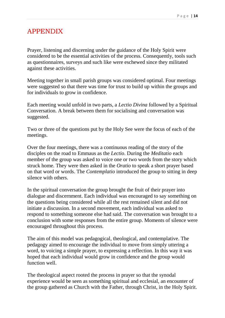# APPENDIX

Prayer, listening and discerning under the guidance of the Holy Spirit were considered to be the essential activities of the process. Consequently, tools such as questionnaires, surveys and such like were eschewed since they militated against these activities.

Meeting together in small parish groups was considered optimal. Four meetings were suggested so that there was time for trust to build up within the groups and for individuals to grow in confidence.

Each meeting would unfold in two parts, a *Lectio Divina* followed by a Spiritual Conversation. A break between them for socialising and conversation was suggested.

Two or three of the questions put by the Holy See were the focus of each of the meetings.

Over the four meetings, there was a continuous reading of the story of the disciples on the road to Emmaus as the *Lectio*. During the *Meditatio* each member of the group was asked to voice one or two words from the story which struck home. They were then asked in the *Oratio* to speak a short prayer based on that word or words. The *Contemplatio* introduced the group to sitting in deep silence with others.

In the spiritual conversation the group brought the fruit of their prayer into dialogue and discernment. Each individual was encouraged to say something on the questions being considered while all the rest remained silent and did not initiate a discussion. In a second movement, each individual was asked to respond to something someone else had said. The conversation was brought to a conclusion with some responses from the entire group. Moments of silence were encouraged throughout this process.

The aim of this model was pedagogical, theological, and contemplative. The pedagogy aimed to encourage the individual to move from simply uttering a word, to voicing a simple prayer, to expressing a reflection. In this way it was hoped that each individual would grow in confidence and the group would function well.

The theological aspect rooted the process in prayer so that the synodal experience would be seen as something spiritual and ecclesial, an encounter of the group gathered as Church with the Father, through Christ, in the Holy Spirit.